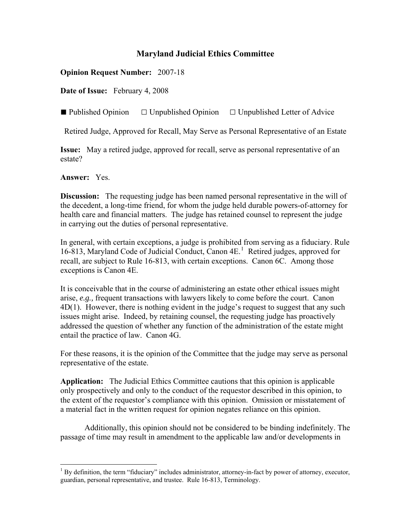## **Maryland Judicial Ethics Committee**

**Opinion Request Number:** 2007-18

**Date of Issue:** February 4, 2008

■ Published Opinion □ Unpublished Opinion □ Unpublished Letter of Advice

Retired Judge, Approved for Recall, May Serve as Personal Representative of an Estate

**Issue:** May a retired judge, approved for recall, serve as personal representative of an estate?

**Answer:** Yes.

 $\overline{a}$ 

**Discussion:** The requesting judge has been named personal representative in the will of the decedent, a long-time friend, for whom the judge held durable powers-of-attorney for health care and financial matters. The judge has retained counsel to represent the judge in carrying out the duties of personal representative.

In general, with certain exceptions, a judge is prohibited from serving as a fiduciary. Rule [1](#page-0-0)6-813, Maryland Code of Judicial Conduct, Canon 4E.<sup>1</sup> Retired judges, approved for recall, are subject to Rule 16-813, with certain exceptions. Canon 6C. Among those exceptions is Canon 4E.

It is conceivable that in the course of administering an estate other ethical issues might arise, *e.g.,* frequent transactions with lawyers likely to come before the court. Canon 4D(1). However, there is nothing evident in the judge's request to suggest that any such issues might arise. Indeed, by retaining counsel, the requesting judge has proactively addressed the question of whether any function of the administration of the estate might entail the practice of law. Canon 4G.

For these reasons, it is the opinion of the Committee that the judge may serve as personal representative of the estate.

**Application:** The Judicial Ethics Committee cautions that this opinion is applicable only prospectively and only to the conduct of the requestor described in this opinion, to the extent of the requestor's compliance with this opinion. Omission or misstatement of a material fact in the written request for opinion negates reliance on this opinion.

Additionally, this opinion should not be considered to be binding indefinitely. The passage of time may result in amendment to the applicable law and/or developments in

<span id="page-0-0"></span> $<sup>1</sup>$  By definition, the term "fiduciary" includes administrator, attorney-in-fact by power of attorney, executor,</sup> guardian, personal representative, and trustee. Rule 16-813, Terminology.